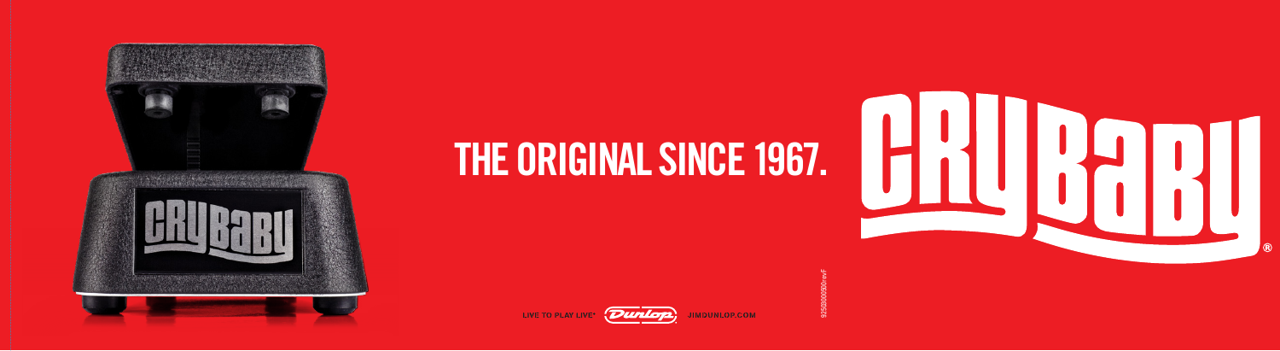







92503000500revF